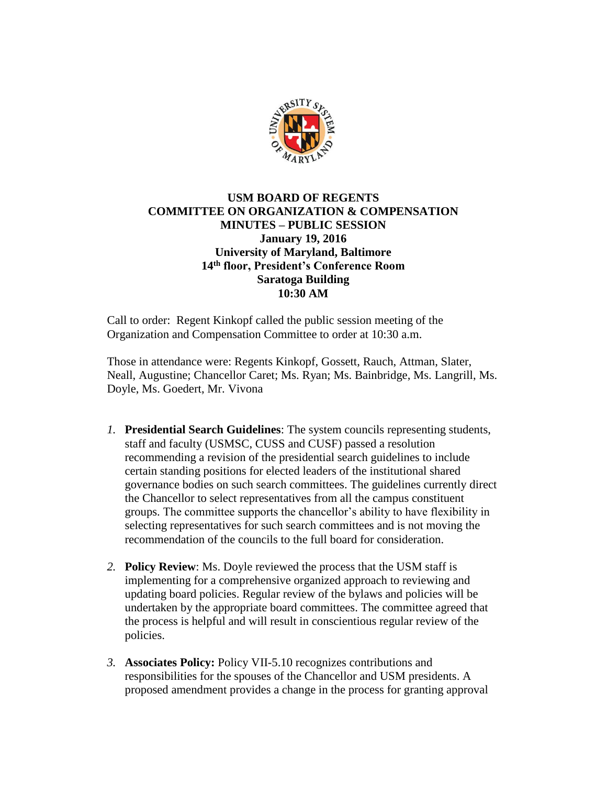

## **USM BOARD OF REGENTS COMMITTEE ON ORGANIZATION & COMPENSATION MINUTES – PUBLIC SESSION January 19, 2016 University of Maryland, Baltimore 14th floor, President's Conference Room Saratoga Building 10:30 AM**

Call to order: Regent Kinkopf called the public session meeting of the Organization and Compensation Committee to order at 10:30 a.m.

Those in attendance were: Regents Kinkopf, Gossett, Rauch, Attman, Slater, Neall, Augustine; Chancellor Caret; Ms. Ryan; Ms. Bainbridge, Ms. Langrill, Ms. Doyle, Ms. Goedert, Mr. Vivona

- *1.* **Presidential Search Guidelines**: The system councils representing students, staff and faculty (USMSC, CUSS and CUSF) passed a resolution recommending a revision of the presidential search guidelines to include certain standing positions for elected leaders of the institutional shared governance bodies on such search committees. The guidelines currently direct the Chancellor to select representatives from all the campus constituent groups. The committee supports the chancellor's ability to have flexibility in selecting representatives for such search committees and is not moving the recommendation of the councils to the full board for consideration.
- *2.* **Policy Review**: Ms. Doyle reviewed the process that the USM staff is implementing for a comprehensive organized approach to reviewing and updating board policies. Regular review of the bylaws and policies will be undertaken by the appropriate board committees. The committee agreed that the process is helpful and will result in conscientious regular review of the policies.
- *3.* **Associates Policy:** Policy VII-5.10 recognizes contributions and responsibilities for the spouses of the Chancellor and USM presidents. A proposed amendment provides a change in the process for granting approval